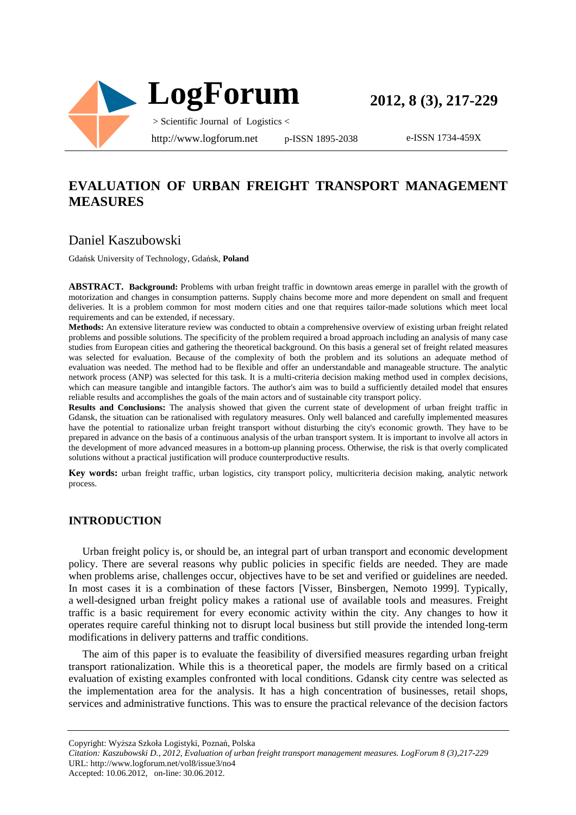

**2012, 8 (3), 217-229**

e-ISSN 1734-459X

## **EVALUATION OF URBAN FREIGHT TRANSPORT MANAGEMENT MEASURES**

## Daniel Kaszubowski

Gdańsk University of Technology, Gdańsk, **Poland**

**ABSTRACT. Background:** Problems with urban freight traffic in downtown areas emerge in parallel with the growth of motorization and changes in consumption patterns. Supply chains become more and more dependent on small and frequent deliveries. It is a problem common for most modern cities and one that requires tailor-made solutions which meet local requirements and can be extended, if necessary.

**Methods:** An extensive literature review was conducted to obtain a comprehensive overview of existing urban freight related problems and possible solutions. The specificity of the problem required a broad approach including an analysis of many case studies from European cities and gathering the theoretical background. On this basis a general set of freight related measures was selected for evaluation. Because of the complexity of both the problem and its solutions an adequate method of evaluation was needed. The method had to be flexible and offer an understandable and manageable structure. The analytic network process (ANP) was selected for this task. It is a multi-criteria decision making method used in complex decisions, which can measure tangible and intangible factors. The author's aim was to build a sufficiently detailed model that ensures reliable results and accomplishes the goals of the main actors and of sustainable city transport policy.

**Results and Conclusions:** The analysis showed that given the current state of development of urban freight traffic in Gdansk, the situation can be rationalised with regulatory measures. Only well balanced and carefully implemented measures have the potential to rationalize urban freight transport without disturbing the city's economic growth. They have to be prepared in advance on the basis of a continuous analysis of the urban transport system. It is important to involve all actors in the development of more advanced measures in a bottom-up planning process. Otherwise, the risk is that overly complicated solutions without a practical justification will produce counterproductive results.

**Key words:** urban freight traffic, urban logistics, city transport policy, multicriteria decision making, analytic network process.

#### **INTRODUCTION**

Urban freight policy is, or should be, an integral part of urban transport and economic development policy. There are several reasons why public policies in specific fields are needed. They are made when problems arise, challenges occur, objectives have to be set and verified or guidelines are needed. In most cases it is a combination of these factors [Visser, Binsbergen, Nemoto 1999]. Typically, a well-designed urban freight policy makes a rational use of available tools and measures. Freight traffic is a basic requirement for every economic activity within the city. Any changes to how it operates require careful thinking not to disrupt local business but still provide the intended long-term modifications in delivery patterns and traffic conditions.

The aim of this paper is to evaluate the feasibility of diversified measures regarding urban freight transport rationalization. While this is a theoretical paper, the models are firmly based on a critical evaluation of existing examples confronted with local conditions. Gdansk city centre was selected as the implementation area for the analysis. It has a high concentration of businesses, retail shops, services and administrative functions. This was to ensure the practical relevance of the decision factors

Copyright: Wyższa Szkoła Logistyki, Poznań, Polska *Citation: Kaszubowski D., 2012, Evaluation of urban freight transport management measures. LogForum 8 (3),217-229*  URL: http://www.logforum.net/vol8/issue3/no4

Accepted: 10.06.2012, on-line: 30.06.2012.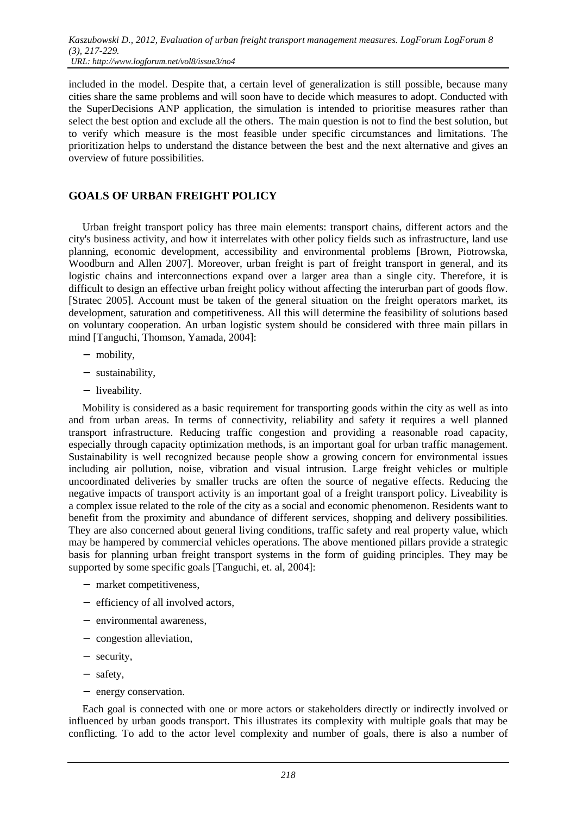included in the model. Despite that, a certain level of generalization is still possible, because many cities share the same problems and will soon have to decide which measures to adopt. Conducted with the SuperDecisions ANP application, the simulation is intended to prioritise measures rather than select the best option and exclude all the others. The main question is not to find the best solution, but to verify which measure is the most feasible under specific circumstances and limitations. The prioritization helps to understand the distance between the best and the next alternative and gives an overview of future possibilities.

## **GOALS OF URBAN FREIGHT POLICY**

Urban freight transport policy has three main elements: transport chains, different actors and the city's business activity, and how it interrelates with other policy fields such as infrastructure, land use planning, economic development, accessibility and environmental problems [Brown, Piotrowska, Woodburn and Allen 2007]. Moreover, urban freight is part of freight transport in general, and its logistic chains and interconnections expand over a larger area than a single city. Therefore, it is difficult to design an effective urban freight policy without affecting the interurban part of goods flow. [Stratec 2005]. Account must be taken of the general situation on the freight operators market, its development, saturation and competitiveness. All this will determine the feasibility of solutions based on voluntary cooperation. An urban logistic system should be considered with three main pillars in mind [Tanguchi, Thomson, Yamada, 2004]:

- − mobility,
- − sustainability,
- − liveability.

Mobility is considered as a basic requirement for transporting goods within the city as well as into and from urban areas. In terms of connectivity, reliability and safety it requires a well planned transport infrastructure. Reducing traffic congestion and providing a reasonable road capacity, especially through capacity optimization methods, is an important goal for urban traffic management. Sustainability is well recognized because people show a growing concern for environmental issues including air pollution, noise, vibration and visual intrusion. Large freight vehicles or multiple uncoordinated deliveries by smaller trucks are often the source of negative effects. Reducing the negative impacts of transport activity is an important goal of a freight transport policy. Liveability is a complex issue related to the role of the city as a social and economic phenomenon. Residents want to benefit from the proximity and abundance of different services, shopping and delivery possibilities. They are also concerned about general living conditions, traffic safety and real property value, which may be hampered by commercial vehicles operations. The above mentioned pillars provide a strategic basis for planning urban freight transport systems in the form of guiding principles. They may be supported by some specific goals [Tanguchi, et. al, 2004]:

- − market competitiveness,
- − efficiency of all involved actors,
- − environmental awareness,
- − congestion alleviation,
- − security,
- − safety,
- − energy conservation.

Each goal is connected with one or more actors or stakeholders directly or indirectly involved or influenced by urban goods transport. This illustrates its complexity with multiple goals that may be conflicting. To add to the actor level complexity and number of goals, there is also a number of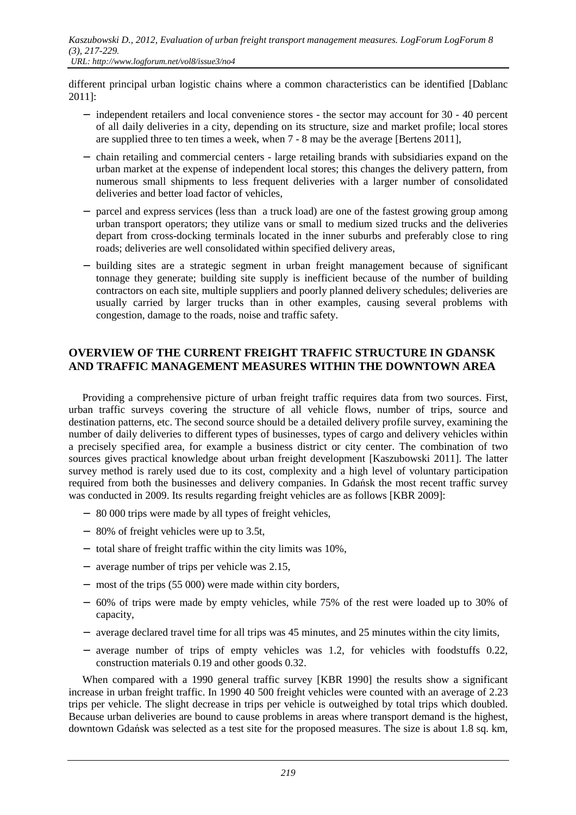different principal urban logistic chains where a common characteristics can be identified [Dablanc 2011]:

- − independent retailers and local convenience stores the sector may account for 30 40 percent of all daily deliveries in a city, depending on its structure, size and market profile; local stores are supplied three to ten times a week, when 7 - 8 may be the average [Bertens 2011],
- − chain retailing and commercial centers large retailing brands with subsidiaries expand on the urban market at the expense of independent local stores; this changes the delivery pattern, from numerous small shipments to less frequent deliveries with a larger number of consolidated deliveries and better load factor of vehicles,
- − parcel and express services (less than a truck load) are one of the fastest growing group among urban transport operators; they utilize vans or small to medium sized trucks and the deliveries depart from cross-docking terminals located in the inner suburbs and preferably close to ring roads; deliveries are well consolidated within specified delivery areas,
- − building sites are a strategic segment in urban freight management because of significant tonnage they generate; building site supply is inefficient because of the number of building contractors on each site, multiple suppliers and poorly planned delivery schedules; deliveries are usually carried by larger trucks than in other examples, causing several problems with congestion, damage to the roads, noise and traffic safety.

#### **OVERVIEW OF THE CURRENT FREIGHT TRAFFIC STRUCTURE IN GDANSK AND TRAFFIC MANAGEMENT MEASURES WITHIN THE DOWNTOWN AREA**

Providing a comprehensive picture of urban freight traffic requires data from two sources. First, urban traffic surveys covering the structure of all vehicle flows, number of trips, source and destination patterns, etc. The second source should be a detailed delivery profile survey, examining the number of daily deliveries to different types of businesses, types of cargo and delivery vehicles within a precisely specified area, for example a business district or city center. The combination of two sources gives practical knowledge about urban freight development [Kaszubowski 2011]. The latter survey method is rarely used due to its cost, complexity and a high level of voluntary participation required from both the businesses and delivery companies. In Gdańsk the most recent traffic survey was conducted in 2009. Its results regarding freight vehicles are as follows [KBR 2009]:

- − 80 000 trips were made by all types of freight vehicles,
- − 80% of freight vehicles were up to 3.5t,
- − total share of freight traffic within the city limits was 10%,
- − average number of trips per vehicle was 2.15,
- − most of the trips (55 000) were made within city borders,
- − 60% of trips were made by empty vehicles, while 75% of the rest were loaded up to 30% of capacity,
- − average declared travel time for all trips was 45 minutes, and 25 minutes within the city limits,
- − average number of trips of empty vehicles was 1.2, for vehicles with foodstuffs 0.22, construction materials 0.19 and other goods 0.32.

When compared with a 1990 general traffic survey [KBR 1990] the results show a significant increase in urban freight traffic. In 1990 40 500 freight vehicles were counted with an average of 2.23 trips per vehicle. The slight decrease in trips per vehicle is outweighed by total trips which doubled. Because urban deliveries are bound to cause problems in areas where transport demand is the highest, downtown Gdańsk was selected as a test site for the proposed measures. The size is about 1.8 sq. km,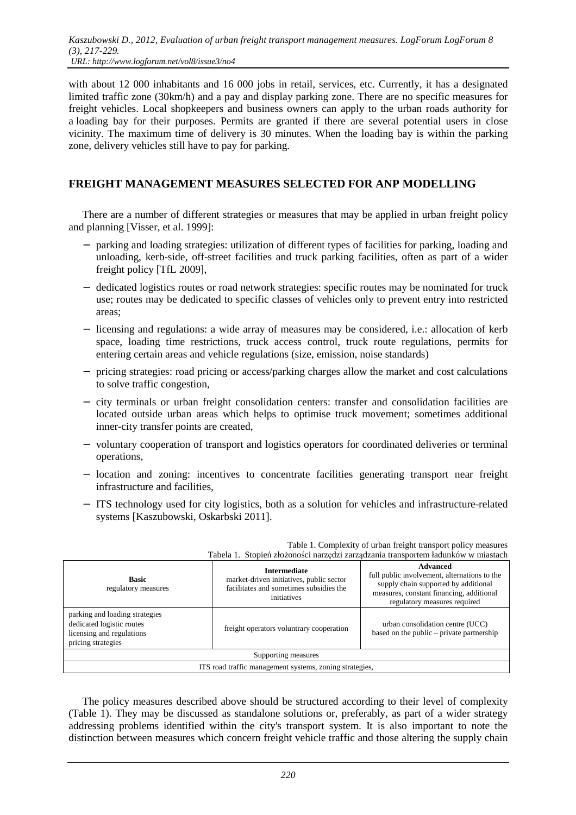with about 12 000 inhabitants and 16 000 jobs in retail, services, etc. Currently, it has a designated limited traffic zone (30km/h) and a pay and display parking zone. There are no specific measures for freight vehicles. Local shopkeepers and business owners can apply to the urban roads authority for a loading bay for their purposes. Permits are granted if there are several potential users in close vicinity. The maximum time of delivery is 30 minutes. When the loading bay is within the parking zone, delivery vehicles still have to pay for parking.

### **FREIGHT MANAGEMENT MEASURES SELECTED FOR ANP MODELLING**

There are a number of different strategies or measures that may be applied in urban freight policy and planning [Visser, et al. 1999]:

- − parking and loading strategies: utilization of different types of facilities for parking, loading and unloading, kerb-side, off-street facilities and truck parking facilities, often as part of a wider freight policy [TfL 2009],
- − dedicated logistics routes or road network strategies: specific routes may be nominated for truck use; routes may be dedicated to specific classes of vehicles only to prevent entry into restricted areas;
- − licensing and regulations: a wide array of measures may be considered, i.e.: allocation of kerb space, loading time restrictions, truck access control, truck route regulations, permits for entering certain areas and vehicle regulations (size, emission, noise standards)
- − pricing strategies: road pricing or access/parking charges allow the market and cost calculations to solve traffic congestion,
- − city terminals or urban freight consolidation centers: transfer and consolidation facilities are located outside urban areas which helps to optimise truck movement; sometimes additional inner-city transfer points are created,
- − voluntary cooperation of transport and logistics operators for coordinated deliveries or terminal operations,
- − location and zoning: incentives to concentrate facilities generating transport near freight infrastructure and facilities,
- − ITS technology used for city logistics, both as a solution for vehicles and infrastructure-related systems [Kaszubowski, Oskarbski 2011].

| Tabela 1. Stopień złożoności narzędzi zarządzania transportem ładunków w miastach                              |                                                                                                                           |                                                                                                                                                                                     |  |  |
|----------------------------------------------------------------------------------------------------------------|---------------------------------------------------------------------------------------------------------------------------|-------------------------------------------------------------------------------------------------------------------------------------------------------------------------------------|--|--|
| <b>Basic</b><br>regulatory measures                                                                            | <b>Intermediate</b><br>market-driven initiatives, public sector<br>facilitates and sometimes subsidies the<br>initiatives | <b>Advanced</b><br>full public involvement, alternations to the<br>supply chain supported by additional<br>measures, constant financing, additional<br>regulatory measures required |  |  |
| parking and loading strategies<br>dedicated logistic routes<br>licensing and regulations<br>pricing strategies | freight operators voluntrary cooperation                                                                                  | urban consolidation centre (UCC)<br>based on the public – private partnership                                                                                                       |  |  |
| Supporting measures                                                                                            |                                                                                                                           |                                                                                                                                                                                     |  |  |
| ITS road traffic management systems, zoning strategies,                                                        |                                                                                                                           |                                                                                                                                                                                     |  |  |

Table 1. Complexity of urban freight transport policy measures

The policy measures described above should be structured according to their level of complexity (Table 1). They may be discussed as standalone solutions or, preferably, as part of a wider strategy addressing problems identified within the city's transport system. It is also important to note the distinction between measures which concern freight vehicle traffic and those altering the supply chain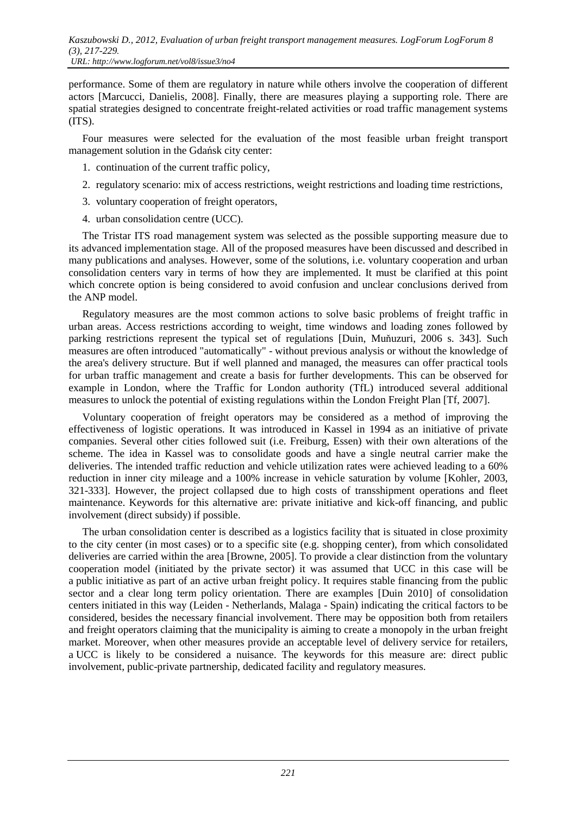performance. Some of them are regulatory in nature while others involve the cooperation of different actors [Marcucci, Danielis, 2008]. Finally, there are measures playing a supporting role. There are spatial strategies designed to concentrate freight-related activities or road traffic management systems (ITS).

Four measures were selected for the evaluation of the most feasible urban freight transport management solution in the Gdańsk city center:

- 1. continuation of the current traffic policy,
- 2. regulatory scenario: mix of access restrictions, weight restrictions and loading time restrictions,
- 3. voluntary cooperation of freight operators,
- 4. urban consolidation centre (UCC).

The Tristar ITS road management system was selected as the possible supporting measure due to its advanced implementation stage. All of the proposed measures have been discussed and described in many publications and analyses. However, some of the solutions, i.e. voluntary cooperation and urban consolidation centers vary in terms of how they are implemented. It must be clarified at this point which concrete option is being considered to avoid confusion and unclear conclusions derived from the ANP model.

Regulatory measures are the most common actions to solve basic problems of freight traffic in urban areas. Access restrictions according to weight, time windows and loading zones followed by parking restrictions represent the typical set of regulations [Duin, Muňuzuri, 2006 s. 343]. Such measures are often introduced "automatically" - without previous analysis or without the knowledge of the area's delivery structure. But if well planned and managed, the measures can offer practical tools for urban traffic management and create a basis for further developments. This can be observed for example in London, where the Traffic for London authority (TfL) introduced several additional measures to unlock the potential of existing regulations within the London Freight Plan [Tf, 2007].

Voluntary cooperation of freight operators may be considered as a method of improving the effectiveness of logistic operations. It was introduced in Kassel in 1994 as an initiative of private companies. Several other cities followed suit (i.e. Freiburg, Essen) with their own alterations of the scheme. The idea in Kassel was to consolidate goods and have a single neutral carrier make the deliveries. The intended traffic reduction and vehicle utilization rates were achieved leading to a 60% reduction in inner city mileage and a 100% increase in vehicle saturation by volume [Kohler, 2003, 321-333]. However, the project collapsed due to high costs of transshipment operations and fleet maintenance. Keywords for this alternative are: private initiative and kick-off financing, and public involvement (direct subsidy) if possible.

The urban consolidation center is described as a logistics facility that is situated in close proximity to the city center (in most cases) or to a specific site (e.g. shopping center), from which consolidated deliveries are carried within the area [Browne, 2005]. To provide a clear distinction from the voluntary cooperation model (initiated by the private sector) it was assumed that UCC in this case will be a public initiative as part of an active urban freight policy. It requires stable financing from the public sector and a clear long term policy orientation. There are examples [Duin 2010] of consolidation centers initiated in this way (Leiden - Netherlands, Malaga - Spain) indicating the critical factors to be considered, besides the necessary financial involvement. There may be opposition both from retailers and freight operators claiming that the municipality is aiming to create a monopoly in the urban freight market. Moreover, when other measures provide an acceptable level of delivery service for retailers, a UCC is likely to be considered a nuisance. The keywords for this measure are: direct public involvement, public-private partnership, dedicated facility and regulatory measures.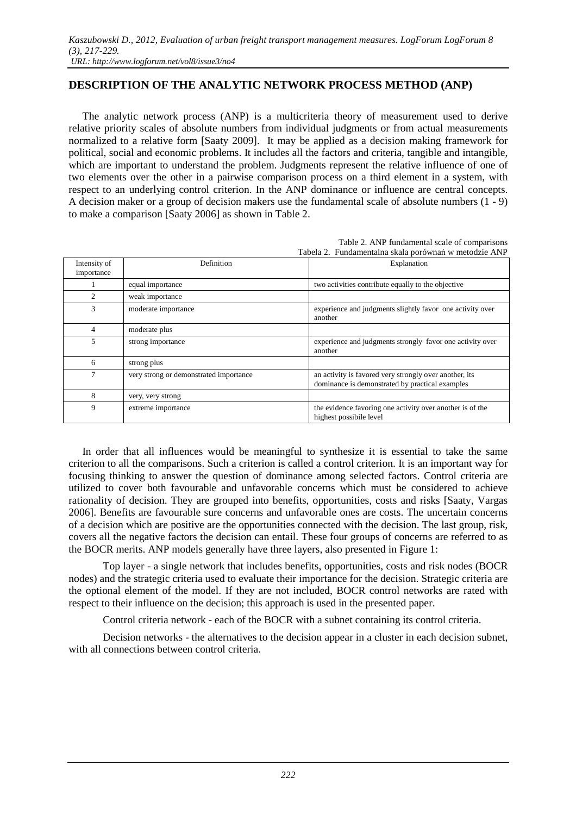## **DESCRIPTION OF THE ANALYTIC NETWORK PROCESS METHOD (ANP)**

The analytic network process (ANP) is a multicriteria theory of measurement used to derive relative priority scales of absolute numbers from individual judgments or from actual measurements normalized to a relative form [Saaty 2009]. It may be applied as a decision making framework for political, social and economic problems. It includes all the factors and criteria, tangible and intangible, which are important to understand the problem. Judgments represent the relative influence of one of two elements over the other in a pairwise comparison process on a third element in a system, with respect to an underlying control criterion. In the ANP dominance or influence are central concepts. A decision maker or a group of decision makers use the fundamental scale of absolute numbers (1 - 9) to make a comparison [Saaty 2006] as shown in Table 2.

|                            | Table 2. ANP fundamental scale of comparisons         |                                                                                                           |  |
|----------------------------|-------------------------------------------------------|-----------------------------------------------------------------------------------------------------------|--|
|                            | Tabela 2. Fundamentalna skala porównań w metodzie ANP |                                                                                                           |  |
| Intensity of<br>importance | Definition                                            | Explanation                                                                                               |  |
|                            | equal importance                                      | two activities contribute equally to the objective                                                        |  |
| $\overline{c}$             | weak importance                                       |                                                                                                           |  |
| 3                          | moderate importance                                   | experience and judgments slightly favor one activity over<br>another                                      |  |
| 4                          | moderate plus                                         |                                                                                                           |  |
| 5                          | strong importance                                     | experience and judgments strongly favor one activity over<br>another                                      |  |
| 6                          | strong plus                                           |                                                                                                           |  |
| 7                          | very strong or demonstrated importance                | an activity is favored very strongly over another, its<br>dominance is demonstrated by practical examples |  |
| 8                          | very, very strong                                     |                                                                                                           |  |
| 9                          | extreme importance                                    | the evidence favoring one activity over another is of the<br>highest possibile level                      |  |

In order that all influences would be meaningful to synthesize it is essential to take the same criterion to all the comparisons. Such a criterion is called a control criterion. It is an important way for focusing thinking to answer the question of dominance among selected factors. Control criteria are utilized to cover both favourable and unfavorable concerns which must be considered to achieve rationality of decision. They are grouped into benefits, opportunities, costs and risks [Saaty, Vargas 2006]. Benefits are favourable sure concerns and unfavorable ones are costs. The uncertain concerns of a decision which are positive are the opportunities connected with the decision. The last group, risk, covers all the negative factors the decision can entail. These four groups of concerns are referred to as the BOCR merits. ANP models generally have three layers, also presented in Figure 1:

 Top layer - a single network that includes benefits, opportunities, costs and risk nodes (BOCR nodes) and the strategic criteria used to evaluate their importance for the decision. Strategic criteria are the optional element of the model. If they are not included, BOCR control networks are rated with respect to their influence on the decision; this approach is used in the presented paper.

Control criteria network - each of the BOCR with a subnet containing its control criteria.

 Decision networks - the alternatives to the decision appear in a cluster in each decision subnet, with all connections between control criteria.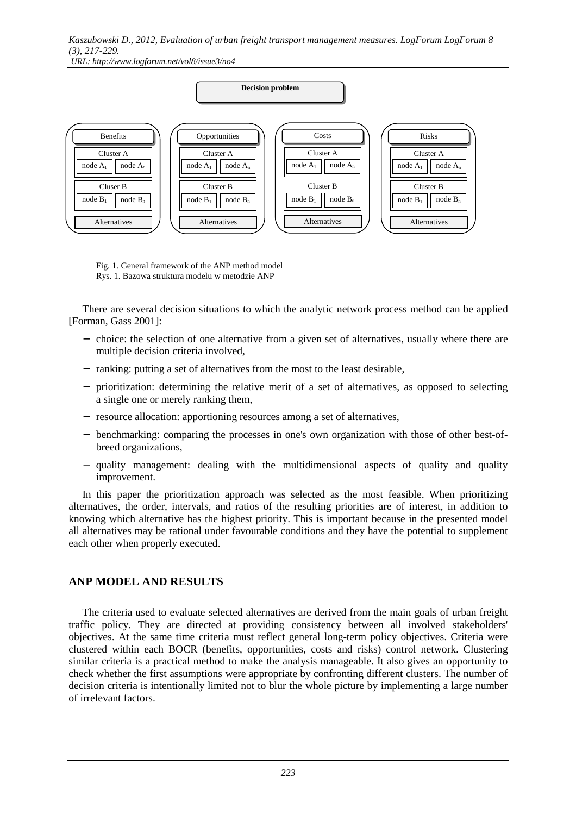*URL: http://www.logforum.net/vol8/issue3/no4* 



 Fig. 1. General framework of the ANP method model Rys. 1. Bazowa struktura modelu w metodzie ANP

There are several decision situations to which the analytic network process method can be applied [Forman, Gass 2001]:

- − choice: the selection of one alternative from a given set of alternatives, usually where there are multiple decision criteria involved,
- − ranking: putting a set of alternatives from the most to the least desirable,
- − prioritization: determining the relative merit of a set of alternatives, as opposed to selecting a single one or merely ranking them,
- − resource allocation: apportioning resources among a set of alternatives,
- − benchmarking: comparing the processes in one's own organization with those of other best-ofbreed organizations,
- − quality management: dealing with the multidimensional aspects of quality and quality improvement.

In this paper the prioritization approach was selected as the most feasible. When prioritizing alternatives, the order, intervals, and ratios of the resulting priorities are of interest, in addition to knowing which alternative has the highest priority. This is important because in the presented model all alternatives may be rational under favourable conditions and they have the potential to supplement each other when properly executed.

#### **ANP MODEL AND RESULTS**

The criteria used to evaluate selected alternatives are derived from the main goals of urban freight traffic policy. They are directed at providing consistency between all involved stakeholders' objectives. At the same time criteria must reflect general long-term policy objectives. Criteria were clustered within each BOCR (benefits, opportunities, costs and risks) control network. Clustering similar criteria is a practical method to make the analysis manageable. It also gives an opportunity to check whether the first assumptions were appropriate by confronting different clusters. The number of decision criteria is intentionally limited not to blur the whole picture by implementing a large number of irrelevant factors.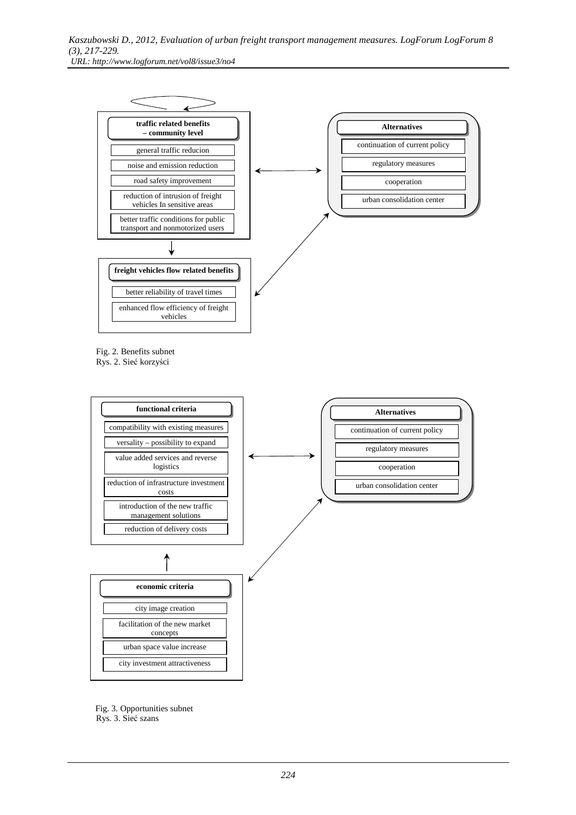

 Fig. 2. Benefits subnet Rys. 2. Sieć korzyści



 Fig. 3. Opportunities subnet Rys. 3. Sieć szans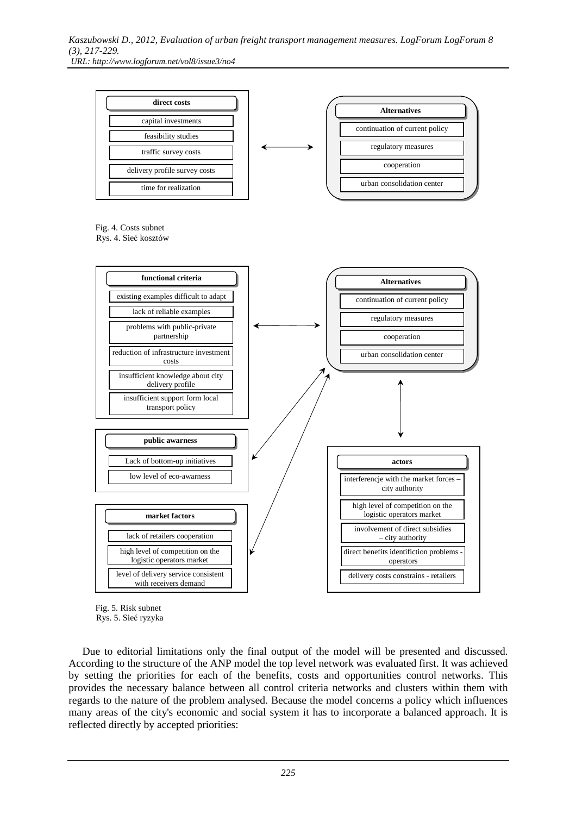



Due to editorial limitations only the final output of the model will be presented and discussed. According to the structure of the ANP model the top level network was evaluated first. It was achieved by setting the priorities for each of the benefits, costs and opportunities control networks. This provides the necessary balance between all control criteria networks and clusters within them with regards to the nature of the problem analysed. Because the model concerns a policy which influences many areas of the city's economic and social system it has to incorporate a balanced approach. It is reflected directly by accepted priorities: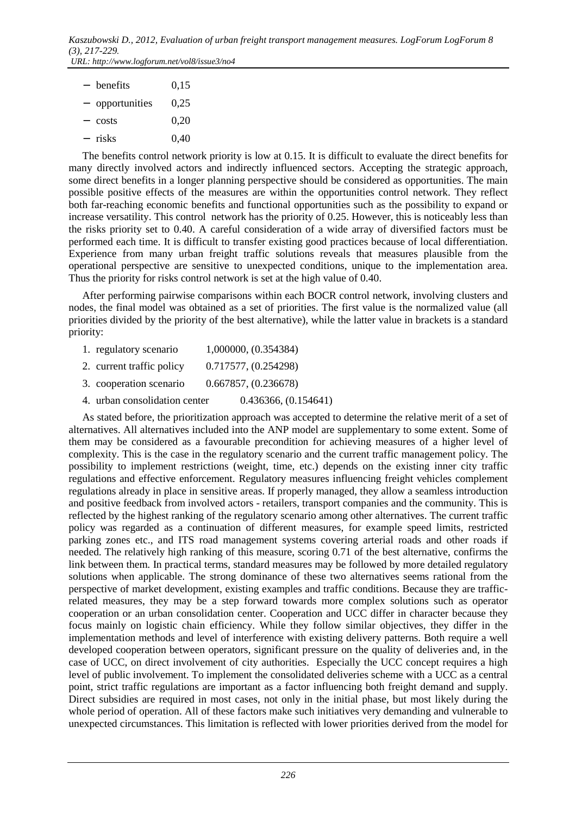| $-$ | benefits      | 0,15   |
|-----|---------------|--------|
|     | opportunities | 0.25   |
|     | costs         | 0.20   |
|     | – risks       | (0.40) |

The benefits control network priority is low at 0.15. It is difficult to evaluate the direct benefits for many directly involved actors and indirectly influenced sectors. Accepting the strategic approach, some direct benefits in a longer planning perspective should be considered as opportunities. The main possible positive effects of the measures are within the opportunities control network. They reflect both far-reaching economic benefits and functional opportunities such as the possibility to expand or increase versatility. This control network has the priority of 0.25. However, this is noticeably less than the risks priority set to 0.40. A careful consideration of a wide array of diversified factors must be performed each time. It is difficult to transfer existing good practices because of local differentiation. Experience from many urban freight traffic solutions reveals that measures plausible from the operational perspective are sensitive to unexpected conditions, unique to the implementation area. Thus the priority for risks control network is set at the high value of 0.40.

After performing pairwise comparisons within each BOCR control network, involving clusters and nodes, the final model was obtained as a set of priorities. The first value is the normalized value (all priorities divided by the priority of the best alternative), while the latter value in brackets is a standard priority:

- 1. regulatory scenario 1,000000, (0.354384)
- 2. current traffic policy 0.717577, (0.254298)
- 3. cooperation scenario 0.667857, (0.236678)
- 4. urban consolidation center 0.436366, (0.154641)

As stated before, the prioritization approach was accepted to determine the relative merit of a set of alternatives. All alternatives included into the ANP model are supplementary to some extent. Some of them may be considered as a favourable precondition for achieving measures of a higher level of complexity. This is the case in the regulatory scenario and the current traffic management policy. The possibility to implement restrictions (weight, time, etc.) depends on the existing inner city traffic regulations and effective enforcement. Regulatory measures influencing freight vehicles complement regulations already in place in sensitive areas. If properly managed, they allow a seamless introduction and positive feedback from involved actors - retailers, transport companies and the community. This is reflected by the highest ranking of the regulatory scenario among other alternatives. The current traffic policy was regarded as a continuation of different measures, for example speed limits, restricted parking zones etc., and ITS road management systems covering arterial roads and other roads if needed. The relatively high ranking of this measure, scoring 0.71 of the best alternative, confirms the link between them. In practical terms, standard measures may be followed by more detailed regulatory solutions when applicable. The strong dominance of these two alternatives seems rational from the perspective of market development, existing examples and traffic conditions. Because they are trafficrelated measures, they may be a step forward towards more complex solutions such as operator cooperation or an urban consolidation center. Cooperation and UCC differ in character because they focus mainly on logistic chain efficiency. While they follow similar objectives, they differ in the implementation methods and level of interference with existing delivery patterns. Both require a well developed cooperation between operators, significant pressure on the quality of deliveries and, in the case of UCC, on direct involvement of city authorities. Especially the UCC concept requires a high level of public involvement. To implement the consolidated deliveries scheme with a UCC as a central point, strict traffic regulations are important as a factor influencing both freight demand and supply. Direct subsidies are required in most cases, not only in the initial phase, but most likely during the whole period of operation. All of these factors make such initiatives very demanding and vulnerable to unexpected circumstances. This limitation is reflected with lower priorities derived from the model for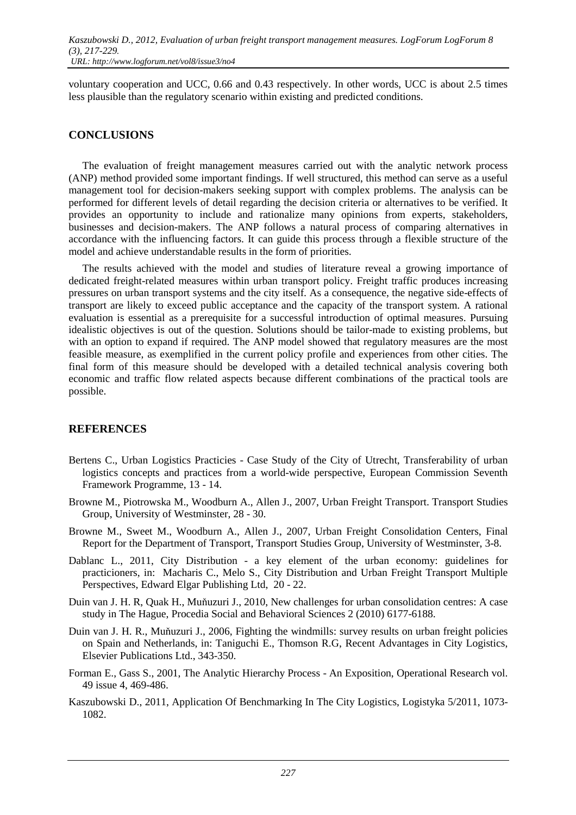voluntary cooperation and UCC, 0.66 and 0.43 respectively. In other words, UCC is about 2.5 times less plausible than the regulatory scenario within existing and predicted conditions.

#### **CONCLUSIONS**

The evaluation of freight management measures carried out with the analytic network process (ANP) method provided some important findings. If well structured, this method can serve as a useful management tool for decision-makers seeking support with complex problems. The analysis can be performed for different levels of detail regarding the decision criteria or alternatives to be verified. It provides an opportunity to include and rationalize many opinions from experts, stakeholders, businesses and decision-makers. The ANP follows a natural process of comparing alternatives in accordance with the influencing factors. It can guide this process through a flexible structure of the model and achieve understandable results in the form of priorities.

The results achieved with the model and studies of literature reveal a growing importance of dedicated freight-related measures within urban transport policy. Freight traffic produces increasing pressures on urban transport systems and the city itself. As a consequence, the negative side-effects of transport are likely to exceed public acceptance and the capacity of the transport system. A rational evaluation is essential as a prerequisite for a successful introduction of optimal measures. Pursuing idealistic objectives is out of the question. Solutions should be tailor-made to existing problems, but with an option to expand if required. The ANP model showed that regulatory measures are the most feasible measure, as exemplified in the current policy profile and experiences from other cities. The final form of this measure should be developed with a detailed technical analysis covering both economic and traffic flow related aspects because different combinations of the practical tools are possible.

### **REFERENCES**

- Bertens C., Urban Logistics Practicies Case Study of the City of Utrecht, Transferability of urban logistics concepts and practices from a world-wide perspective, European Commission Seventh Framework Programme, 13 - 14.
- Browne M., Piotrowska M., Woodburn A., Allen J., 2007, Urban Freight Transport. Transport Studies Group, University of Westminster, 28 - 30.
- Browne M., Sweet M., Woodburn A., Allen J., 2007, Urban Freight Consolidation Centers, Final Report for the Department of Transport, Transport Studies Group, University of Westminster, 3-8.
- Dablanc L., 2011, City Distribution a key element of the urban economy: guidelines for practicioners, in: Macharis C., Melo S., City Distribution and Urban Freight Transport Multiple Perspectives, Edward Elgar Publishing Ltd, 20 - 22.
- Duin van J. H. R, Quak H., Muňuzuri J., 2010, New challenges for urban consolidation centres: A case study in The Hague, Procedia Social and Behavioral Sciences 2 (2010) 6177-6188.
- Duin van J. H. R., Muňuzuri J., 2006, Fighting the windmills: survey results on urban freight policies on Spain and Netherlands, in: Taniguchi E., Thomson R.G, Recent Advantages in City Logistics, Elsevier Publications Ltd., 343-350.
- Forman E., Gass S., 2001, The Analytic Hierarchy Process An Exposition, Operational Research vol. 49 issue 4, 469-486.
- Kaszubowski D., 2011, Application Of Benchmarking In The City Logistics, Logistyka 5/2011, 1073- 1082.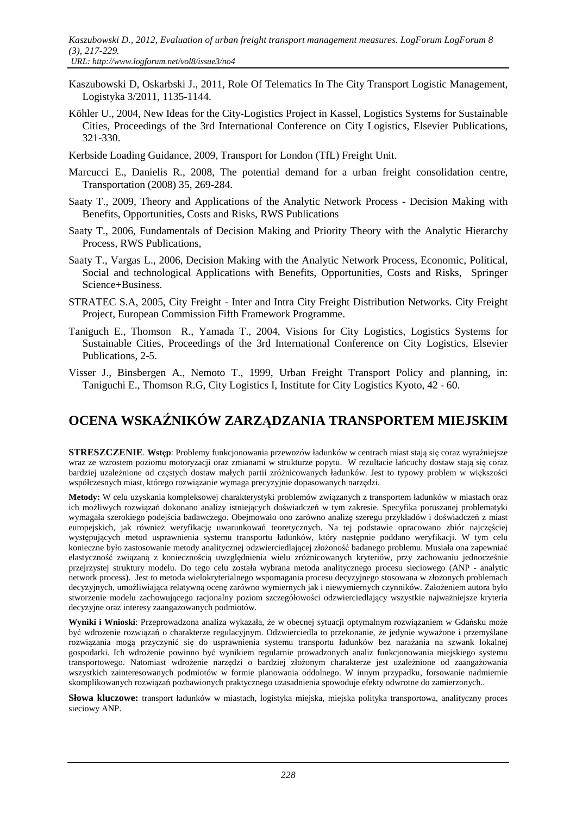- Kaszubowski D, Oskarbski J., 2011, Role Of Telematics In The City Transport Logistic Management, Logistyka 3/2011, 1135-1144.
- Köhler U., 2004, New Ideas for the City-Logistics Project in Kassel, Logistics Systems for Sustainable Cities, Proceedings of the 3rd International Conference on City Logistics, Elsevier Publications, 321-330.
- Kerbside Loading Guidance, 2009, Transport for London (TfL) Freight Unit.
- Marcucci E., Danielis R., 2008, The potential demand for a urban freight consolidation centre, Transportation (2008) 35, 269-284.
- Saaty T., 2009, Theory and Applications of the Analytic Network Process Decision Making with Benefits, Opportunities, Costs and Risks, RWS Publications
- Saaty T., 2006, Fundamentals of Decision Making and Priority Theory with the Analytic Hierarchy Process, RWS Publications,
- Saaty T., Vargas L., 2006, Decision Making with the Analytic Network Process, Economic, Political, Social and technological Applications with Benefits, Opportunities, Costs and Risks, Springer Science+Business.
- STRATEC S.A, 2005, City Freight Inter and Intra City Freight Distribution Networks. City Freight Project, European Commission Fifth Framework Programme.
- Taniguch E., Thomson R., Yamada T., 2004, Visions for City Logistics, Logistics Systems for Sustainable Cities, Proceedings of the 3rd International Conference on City Logistics, Elsevier Publications, 2-5.
- Visser J., Binsbergen A., Nemoto T., 1999, Urban Freight Transport Policy and planning, in: Taniguchi E., Thomson R.G, City Logistics I, Institute for City Logistics Kyoto, 42 - 60.

# **OCENA WSKAŹNIKÓW ZARZĄDZANIA TRANSPORTEM MIEJSKIM**

**STRESZCZENIE**. **Wstęp**: Problemy funkcjonowania przewozów ładunków w centrach miast stają się coraz wyraźniejsze wraz ze wzrostem poziomu motoryzacji oraz zmianami w strukturze popytu. W rezultacie łańcuchy dostaw stają się coraz bardziej uzależnione od częstych dostaw małych partii zróżnicowanych ładunków. Jest to typowy problem w większości współczesnych miast, którego rozwiązanie wymaga precyzyjnie dopasowanych narzędzi.

**Metody:** W celu uzyskania kompleksowej charakterystyki problemów związanych z transportem ładunków w miastach oraz ich możliwych rozwiązań dokonano analizy istniejących doświadczeń w tym zakresie. Specyfika poruszanej problematyki wymagała szerokiego podejścia badawczego. Obejmowało ono zarówno analizę szeregu przykładów i doświadczeń z miast europejskich, jak również weryfikację uwarunkowań teoretycznych. Na tej podstawie opracowano zbiór najczęściej występujących metod usprawnienia systemu transportu ładunków, który następnie poddano weryfikacji. W tym celu konieczne było zastosowanie metody analitycznej odzwierciedlającej złożoność badanego problemu. Musiała ona zapewniać elastyczność związaną z koniecznością uwzględnienia wielu zróżnicowanych kryteriów, przy zachowaniu jednocześnie przejrzystej struktury modelu. Do tego celu została wybrana metoda analitycznego procesu sieciowego (ANP - analytic network process). Jest to metoda wielokryterialnego wspomagania procesu decyzyjnego stosowana w złożonych problemach decyzyjnych, umożliwiająca relatywną ocenę zarówno wymiernych jak i niewymiernych czynników. Założeniem autora było stworzenie modelu zachowującego racjonalny poziom szczegółowości odzwierciedlający wszystkie najważniejsze kryteria decyzyjne oraz interesy zaangażowanych podmiotów.

**Wyniki i Wnioski**: Przeprowadzona analiza wykazała, że w obecnej sytuacji optymalnym rozwiązaniem w Gdańsku może być wdrożenie rozwiązań o charakterze regulacyjnym. Odzwierciedla to przekonanie, że jedynie wyważone i przemyślane rozwiązania mogą przyczynić się do usprawnienia systemu transportu ładunków bez narażania na szwank lokalnej gospodarki. Ich wdrożenie powinno być wynikiem regularnie prowadzonych analiz funkcjonowania miejskiego systemu transportowego. Natomiast wdrożenie narzędzi o bardziej złożonym charakterze jest uzależnione od zaangażowania wszystkich zainteresowanych podmiotów w formie planowania oddolnego. W innym przypadku, forsowanie nadmiernie skomplikowanych rozwiązań pozbawionych praktycznego uzasadnienia spowoduje efekty odwrotne do zamierzonych..

**Słowa kluczowe:** transport ładunków w miastach, logistyka miejska, miejska polityka transportowa, analityczny proces sieciowy ANP.